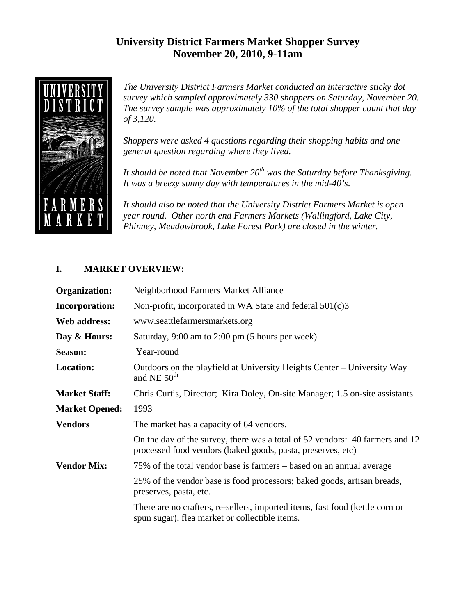# **University District Farmers Market Shopper Survey November 20, 2010, 9-11am**



*The University District Farmers Market conducted an interactive sticky dot survey which sampled approximately 330 shoppers on Saturday, November 20. The survey sample was approximately 10% of the total shopper count that day of 3,120.* 

*Shoppers were asked 4 questions regarding their shopping habits and one general question regarding where they lived.* 

*It should be noted that November 20th was the Saturday before Thanksgiving. It was a breezy sunny day with temperatures in the mid-40's.* 

*It should also be noted that the University District Farmers Market is open year round. Other north end Farmers Markets (Wallingford, Lake City, Phinney, Meadowbrook, Lake Forest Park) are closed in the winter.* 

### **I. MARKET OVERVIEW:**

| Organization:         | Neighborhood Farmers Market Alliance                                                                                                        |
|-----------------------|---------------------------------------------------------------------------------------------------------------------------------------------|
| <b>Incorporation:</b> | Non-profit, incorporated in WA State and federal 501(c)3                                                                                    |
| Web address:          | www.seattlefarmersmarkets.org                                                                                                               |
| Day & Hours:          | Saturday, 9:00 am to 2:00 pm (5 hours per week)                                                                                             |
| <b>Season:</b>        | Year-round                                                                                                                                  |
| <b>Location:</b>      | Outdoors on the playfield at University Heights Center – University Way<br>and NE $50th$                                                    |
| <b>Market Staff:</b>  | Chris Curtis, Director; Kira Doley, On-site Manager; 1.5 on-site assistants                                                                 |
| <b>Market Opened:</b> | 1993                                                                                                                                        |
| <b>Vendors</b>        | The market has a capacity of 64 vendors.                                                                                                    |
|                       | On the day of the survey, there was a total of 52 vendors: 40 farmers and 12<br>processed food vendors (baked goods, pasta, preserves, etc) |
| <b>Vendor Mix:</b>    | 75% of the total vendor base is farmers – based on an annual average                                                                        |
|                       | 25% of the vendor base is food processors; baked goods, artisan breads,<br>preserves, pasta, etc.                                           |
|                       | There are no crafters, re-sellers, imported items, fast food (kettle corn or<br>spun sugar), flea market or collectible items.              |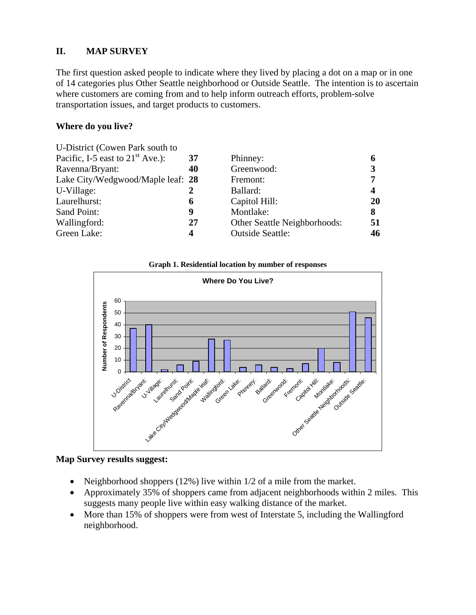### **II. MAP SURVEY**

The first question asked people to indicate where they lived by placing a dot on a map or in one of 14 categories plus Other Seattle neighborhood or Outside Seattle. The intention is to ascertain where customers are coming from and to help inform outreach efforts, problem-solve transportation issues, and target products to customers.

### **Where do you live?**

| U-District (Cowen Park south to    |    |                              |    |
|------------------------------------|----|------------------------------|----|
| Pacific, I-5 east to $21st$ Ave.): | 37 | Phinney:                     | 6  |
| Ravenna/Bryant:                    | 40 | Greenwood:                   | 3  |
| Lake City/Wedgwood/Maple leaf: 28  |    | Fremont:                     | 7  |
| U-Village:                         |    | Ballard:                     | 4  |
| Laurelhurst:                       | 6  | Capitol Hill:                | 20 |
| Sand Point:                        | 9  | Montlake:                    | 8  |
| Wallingford:                       | 27 | Other Seattle Neighborhoods: | 51 |
| Green Lake:                        | 4  | <b>Outside Seattle:</b>      | 46 |
|                                    |    |                              |    |

#### **Graph 1. Residential location by number of responses**



**Map Survey results suggest:** 

- Neighborhood shoppers  $(12%)$  live within  $1/2$  of a mile from the market.
- Approximately 35% of shoppers came from adjacent neighborhoods within 2 miles. This suggests many people live within easy walking distance of the market.
- More than 15% of shoppers were from west of Interstate 5, including the Wallingford neighborhood.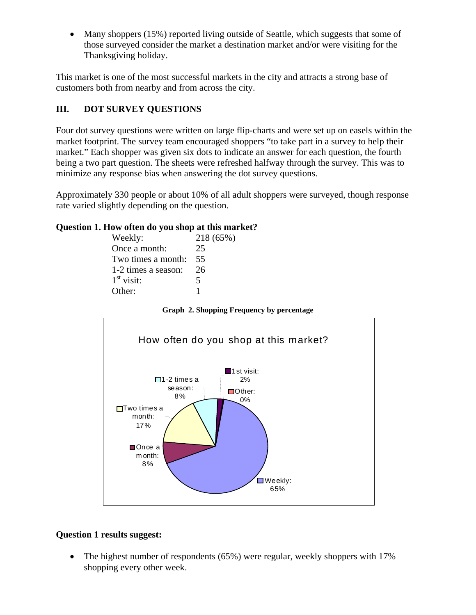• Many shoppers (15%) reported living outside of Seattle, which suggests that some of those surveyed consider the market a destination market and/or were visiting for the Thanksgiving holiday.

This market is one of the most successful markets in the city and attracts a strong base of customers both from nearby and from across the city.

## **III. DOT SURVEY QUESTIONS**

Four dot survey questions were written on large flip-charts and were set up on easels within the market footprint. The survey team encouraged shoppers "to take part in a survey to help their market." Each shopper was given six dots to indicate an answer for each question, the fourth being a two part question. The sheets were refreshed halfway through the survey. This was to minimize any response bias when answering the dot survey questions.

Approximately 330 people or about 10% of all adult shoppers were surveyed, though response rate varied slightly depending on the question.

### **Question 1. How often do you shop at this market?**

| Weekly:             | 218 (65%) |
|---------------------|-----------|
| Once a month:       | 25        |
| Two times a month:  | 55        |
| 1-2 times a season: | 26        |
| $1st$ visit:        | 5         |
| Other:              |           |
|                     |           |

**Graph 2. Shopping Frequency by percentage**



#### **Question 1 results suggest:**

• The highest number of respondents (65%) were regular, weekly shoppers with 17% shopping every other week.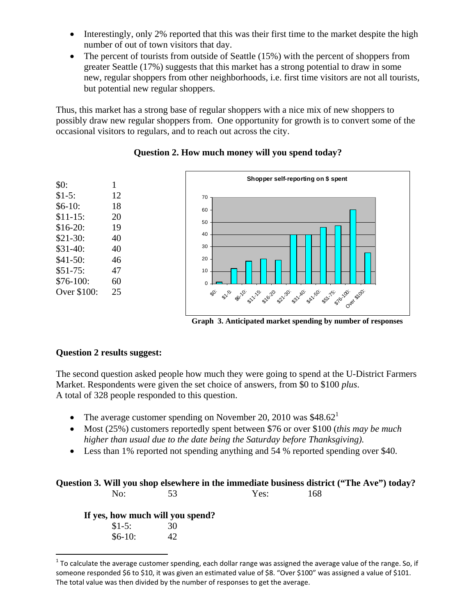- Interestingly, only 2% reported that this was their first time to the market despite the high number of out of town visitors that day.
- The percent of tourists from outside of Seattle (15%) with the percent of shoppers from greater Seattle (17%) suggests that this market has a strong potential to draw in some new, regular shoppers from other neighborhoods, i.e. first time visitors are not all tourists, but potential new regular shoppers.

Thus, this market has a strong base of regular shoppers with a nice mix of new shoppers to possibly draw new regular shoppers from. One opportunity for growth is to convert some of the occasional visitors to regulars, and to reach out across the city.



#### **Question 2. How much money will you spend today?**

**Graph 3. Anticipated market spending by number of responses**

#### **Question 2 results suggest:**

The second question asked people how much they were going to spend at the U-District Farmers Market. Respondents were given the set choice of answers, from \$0 to \$100 *plus*. A total of 328 people responded to this question.

- The average customer spending on November 20, 2010 was  $$48.62<sup>1</sup>$
- Most (25%) customers reportedly spent between \$76 or over \$100 (*this may be much higher than usual due to the date being the Saturday before Thanksgiving).*
- Less than 1% reported not spending anything and 54 % reported spending over \$40.

|     |          |                                  |      | Question 3. Will you shop elsewhere in the immediate business district ("The Ave") today? |
|-----|----------|----------------------------------|------|-------------------------------------------------------------------------------------------|
| No: |          | 53                               | Yes: | 168                                                                                       |
|     |          | If yes, how much will you spend? |      |                                                                                           |
|     | $$1-5:$  | 30                               |      |                                                                                           |
|     | $$6-10:$ |                                  |      |                                                                                           |

 $\overline{a}$  $1$  To calculate the average customer spending, each dollar range was assigned the average value of the range. So, if someone responded \$6 to \$10, it was given an estimated value of \$8. "Over \$100" was assigned a value of \$101. The total value was then divided by the number of responses to get the average.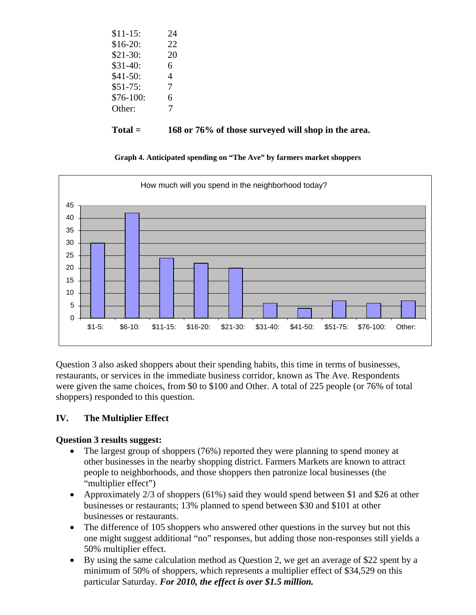| $Total =$  | 168 or 76% of those surveyed will shop in the area. |
|------------|-----------------------------------------------------|
| Other:     |                                                     |
| $$76-100:$ | 6                                                   |
| $$51-75:$  |                                                     |
| $$41-50:$  | 4                                                   |
| $$31-40:$  | 6                                                   |
| $$21-30:$  | 20                                                  |
| $$16-20:$  | 22                                                  |
| $$11-15:$  | 24                                                  |
|            |                                                     |

**Graph 4. Anticipated spending on "The Ave" by farmers market shoppers** 



Question 3 also asked shoppers about their spending habits, this time in terms of businesses, restaurants, or services in the immediate business corridor, known as The Ave. Respondents were given the same choices, from \$0 to \$100 and Other. A total of 225 people (or 76% of total shoppers) responded to this question.

# **IV. The Multiplier Effect**

# **Question 3 results suggest:**

- The largest group of shoppers (76%) reported they were planning to spend money at other businesses in the nearby shopping district. Farmers Markets are known to attract people to neighborhoods, and those shoppers then patronize local businesses (the "multiplier effect")
- Approximately 2/3 of shoppers (61%) said they would spend between \$1 and \$26 at other businesses or restaurants; 13% planned to spend between \$30 and \$101 at other businesses or restaurants.
- The difference of 105 shoppers who answered other questions in the survey but not this one might suggest additional "no" responses, but adding those non-responses still yields a 50% multiplier effect.
- By using the same calculation method as Question 2, we get an average of \$22 spent by a minimum of 50% of shoppers, which represents a multiplier effect of \$34,529 on this particular Saturday. *For 2010, the effect is over \$1.5 million.*